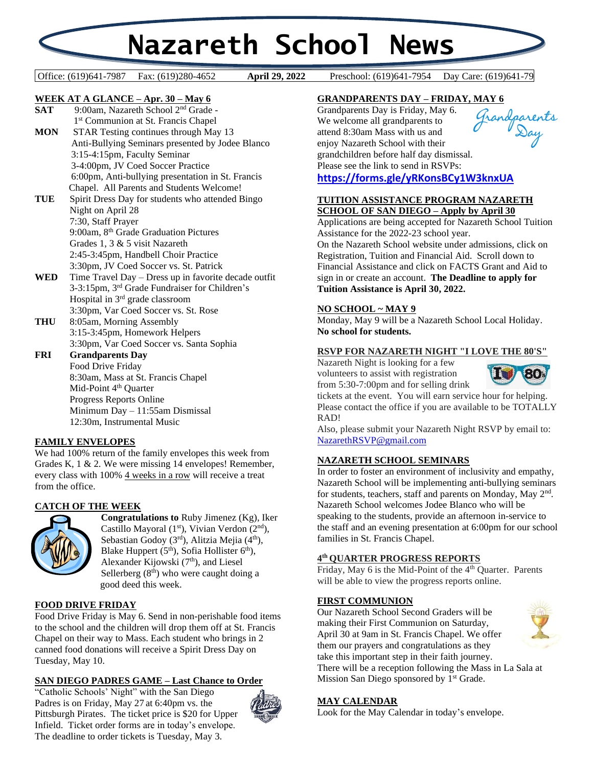# **Nazareth School News**

#### Office: (619)641-7987 Fax: (619)280-4652 **April 29, 2022** Preschool: (619)641-7954 Day Care: (619)641-79

April 29, 2022

# **WEEK AT A GLANCE – Apr. 30 – May 6**

- **SAT** 9:00am, Nazareth School 2nd Grade 1<sup>st</sup> Communion at St. Francis Chapel **MON** STAR Testing continues through May 13 Anti-Bullying Seminars presented by Jodee Blanco 3:15-4:15pm, Faculty Seminar 3-4:00pm, JV Coed Soccer Practice 6:00pm, Anti-bullying presentation in St. Francis Chapel. All Parents and Students Welcome! **TUE** Spirit Dress Day for students who attended Bingo Night on April 28 7:30, Staff Prayer 9:00am, 8th Grade Graduation Pictures
- Grades 1, 3 & 5 visit Nazareth 2:45-3:45pm, Handbell Choir Practice 3:30pm, JV Coed Soccer vs. St. Patrick **WED** Time Travel Day – Dress up in favorite decade outfit
- 3-3:15pm, 3 rd Grade Fundraiser for Children's Hospital in 3rd grade classroom 3:30pm, Var Coed Soccer vs. St. Rose
- **THU** 8:05am, Morning Assembly 3:15-3:45pm, Homework Helpers 3:30pm, Var Coed Soccer vs. Santa Sophia
- **FRI Grandparents Day** Food Drive Friday 8:30am, Mass at St. Francis Chapel Mid-Point 4<sup>th</sup> Quarter Progress Reports Online Minimum Day – 11:55am Dismissal 12:30m, Instrumental Music

# **FAMILY ENVELOPES**

We had 100% return of the family envelopes this week from Grades K, 1 & 2. We were missing 14 envelopes! Remember, every class with 100% 4 weeks in a row will receive a treat from the office.

# **CATCH OF THE WEEK**



**Congratulations to** Ruby Jimenez (Kg), Iker Castillo Mayoral (1<sup>st</sup>), Vivian Verdon (2<sup>nd</sup>), Sebastian Godoy  $(3<sup>rd</sup>)$ , Alitzia Mejia  $(4<sup>th</sup>)$ , Blake Huppert  $(5<sup>th</sup>)$ , Sofia Hollister  $6<sup>th</sup>$ ), Alexander Kijowski (7<sup>th</sup>), and Liesel Sellerberg  $(8<sup>th</sup>)$  who were caught doing a good deed this week.

#### **FOOD DRIVE FRIDAY**

Food Drive Friday is May 6. Send in non-perishable food items to the school and the children will drop them off at St. Francis Chapel on their way to Mass. Each student who brings in 2 canned food donations will receive a Spirit Dress Day on Tuesday, May 10.

#### **SAN DIEGO PADRES GAME – Last Chance to Order**

"Catholic Schools' Night" with the San Diego Padres is on Friday, May 27 at 6:40pm vs. the Pittsburgh Pirates. The ticket price is \$20 for Upper Infield. Ticket order forms are in today's envelope. The deadline to order tickets is Tuesday, May 3.



# **GRANDPARENTS DAY – FRIDAY, MAY 6**

Grandparents Day is Friday, May 6. We welcome all grandparents to attend 8:30am Mass with us and enjoy Nazareth School with their grandchildren before half day dismissal. Please see the link to send in RSVPs: **<https://forms.gle/yRKonsBCy1W3knxUA>**



Applications are being accepted for Nazareth School Tuition Assistance for the 2022-23 school year.

On the Nazareth School website under admissions, click on Registration, Tuition and Financial Aid. Scroll down to Financial Assistance and click on FACTS Grant and Aid to sign in or create an account. **The Deadline to apply for Tuition Assistance is April 30, 2022.**

# **NO SCHOOL ~ MAY 9**

Monday, May 9 will be a Nazareth School Local Holiday. **No school for students.**

# **RSVP FOR NAZARETH NIGHT "I LOVE THE 80'S"**

Nazareth Night is looking for a few volunteers to assist with registration from 5:30-7:00pm and for selling drink



tickets at the event. You will earn service hour for helping. Please contact the office if you are available to be TOTALLY RAD!

Also, please submit your Nazareth Night RSVP by email to: [NazarethRSVP@gmail.com](mailto:NazarethRSVP@gmail.com)

# **NAZARETH SCHOOL SEMINARS**

In order to foster an environment of inclusivity and empathy, Nazareth School will be implementing anti-bullying seminars for students, teachers, staff and parents on Monday, May 2<sup>nd</sup>. Nazareth School welcomes Jodee Blanco who will be speaking to the students, provide an afternoon in-service to the staff and an evening presentation at 6:00pm for our school families in St. Francis Chapel.

#### **4 th QUARTER PROGRESS REPORTS**

Friday, May 6 is the Mid-Point of the 4<sup>th</sup> Quarter. Parents will be able to view the progress reports online.

#### **FIRST COMMUNION**

Our Nazareth School Second Graders will be making their First Communion on Saturday, April 30 at 9am in St. Francis Chapel. We offer them our prayers and congratulations as they take this important step in their faith journey. There will be a reception following the Mass in La Sala at Mission San Diego sponsored by 1<sup>st</sup> Grade.



#### **MAY CALENDAR**

Look for the May Calendar in today's envelope.